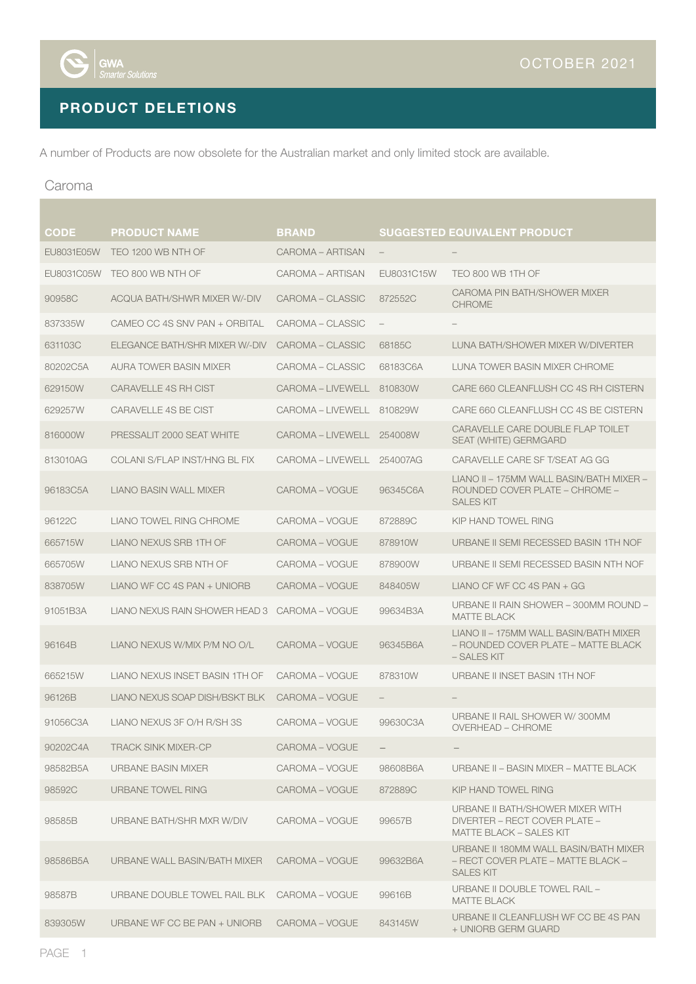

# PRODUCT DELETIONS

A number of Products are now obsolete for the Australian market and only limited stock are available.

#### Caroma

and the state

| CODE       | <b>PRODUCT NAME</b>            | <b>BRAND</b>              |                                   | <b>SUGGESTED EQUIVALENT PRODUCT</b>                                                                 |
|------------|--------------------------------|---------------------------|-----------------------------------|-----------------------------------------------------------------------------------------------------|
| EU8031E05W | TEO 1200 WB NTH OF             | CAROMA - ARTISAN          | $\overline{\phantom{a}}$          |                                                                                                     |
| EU8031C05W | TEO 800 WB NTH OF              | CAROMA - ARTISAN          | EU8031C15W                        | TEO 800 WB 1TH OF                                                                                   |
| 90958C     | ACQUA BATH/SHWR MIXER W/-DIV   | CAROMA - CLASSIC          | 872552C                           | CAROMA PIN BATH/SHOWER MIXER<br><b>CHROME</b>                                                       |
| 837335W    | CAMEO CC 4S SNV PAN + ORBITAL  | CAROMA – CLASSIC          | $\hspace{1.0cm} - \hspace{1.0cm}$ | $\qquad \qquad -$                                                                                   |
| 631103C    | ELEGANCE BATH/SHR MIXER W/-DIV | CAROMA – CLASSIC          | 68185C                            | LUNA BATH/SHOWER MIXER W/DIVERTER                                                                   |
| 80202C5A   | AURA TOWER BASIN MIXER         | CAROMA - CLASSIC          | 68183C6A                          | LUNA TOWER BASIN MIXER CHROME                                                                       |
| 629150W    | CARAVELLE 4S RH CIST           | CAROMA - LIVEWELL 810830W |                                   | CARE 660 CLEANFLUSH CC 4S RH CISTERN                                                                |
| 629257W    | <b>CARAVELLE 4S BE CIST</b>    | CAROMA – LIVEWELL         | 810829W                           | CARE 660 CLEANFLUSH CC 4S BE CISTERN                                                                |
| 816000W    | PRESSALIT 2000 SEAT WHITE      | CAROMA – LIVEWELL         | 254008W                           | CARAVELLE CARE DOUBLE FLAP TOILET<br>SEAT (WHITE) GERMGARD                                          |
| 813010AG   | COLANI S/FLAP INST/HNG BL FIX  | CAROMA – LIVEWELL         | 254007AG                          | CARAVELLE CARE SF T/SEAT AG GG                                                                      |
| 96183C5A   | LIANO BASIN WALL MIXER         | CAROMA - VOGUE            | 96345C6A                          | LIANO II - 175MM WALL BASIN/BATH MIXER -<br>ROUNDED COVER PLATE - CHROME -<br><b>SALES KIT</b>      |
| 96122C     | LIANO TOWEL RING CHROME        | CAROMA - VOGUE            | 872889C                           | KIP HAND TOWEL RING                                                                                 |
| 665715W    | LIANO NEXUS SRB 1TH OF         | CAROMA - VOGUE            | 878910W                           | URBANE II SEMI RECESSED BASIN 1TH NOF                                                               |
| 665705W    | LIANO NEXUS SRB NTH OF         | CAROMA – VOGUE            | 878900W                           | URBANE II SEMI RECESSED BASIN NTH NOF                                                               |
| 838705W    | LIANO WF CC 4S PAN + UNIORB    | CAROMA - VOGUE            | 848405W                           | LIANO CF WF CC 4S PAN $+$ GG                                                                        |
| 91051B3A   | LIANO NEXUS RAIN SHOWER HEAD 3 | CAROMA - VOGUE            | 99634B3A                          | URBANE II RAIN SHOWER - 300MM ROUND -<br><b>MATTE BLACK</b>                                         |
| 96164B     | LIANO NEXUS W/MIX P/M NO O/L   | CAROMA - VOGUE            | 96345B6A                          | LIANO II - 175MM WALL BASIN/BATH MIXER<br>– ROUNDED COVER PLATE – MATTE BLACK<br>- SALES KIT        |
| 665215W    | LIANO NEXUS INSET BASIN 1TH OF | CAROMA – VOGUE            | 878310W                           | URBANE II INSET BASIN 1TH NOF                                                                       |
| 96126B     | LIANO NEXUS SOAP DISH/BSKT BLK | CAROMA - VOGUE            |                                   |                                                                                                     |
| 91056C3A   | LIANO NEXUS 3F O/H R/SH 3S     | CAROMA - VOGUE            | 99630C3A                          | URBANE II RAIL SHOWER W/300MM<br>OVERHEAD - CHROME                                                  |
| 90202C4A   | <b>TRACK SINK MIXER-CP</b>     | CAROMA - VOGUE            |                                   |                                                                                                     |
| 98582B5A   | URBANE BASIN MIXER             | CAROMA – VOGUE            | 98608B6A                          | URBANE II – BASIN MIXER – MATTE BLACK                                                               |
| 98592C     | URBANE TOWEL RING              | CAROMA - VOGUE            | 872889C                           | KIP HAND TOWEL RING                                                                                 |
| 98585B     | URBANE BATH/SHR MXR W/DIV      | CAROMA – VOGUE            | 99657B                            | URBANE II BATH/SHOWER MIXER WITH<br>DIVERTER – RECT COVER PLATE –<br><b>MATTE BLACK - SALES KIT</b> |
| 98586B5A   | URBANE WALL BASIN/BATH MIXER   | CAROMA – VOGUE            | 99632B6A                          | URBANE II 180MM WALL BASIN/BATH MIXER<br>- RECT COVER PLATE - MATTE BLACK -<br><b>SALES KIT</b>     |
| 98587B     | URBANE DOUBLE TOWEL RAIL BLK   | CAROMA – VOGUE            | 99616B                            | URBANE II DOUBLE TOWEL RAIL -<br>MATTE BLACK                                                        |
| 839305W    | URBANE WF CC BE PAN + UNIORB   | CAROMA - VOGUE            | 843145W                           | URBANE II CLEANFLUSH WF CC BE 4S PAN<br>+ UNIORB GERM GUARD                                         |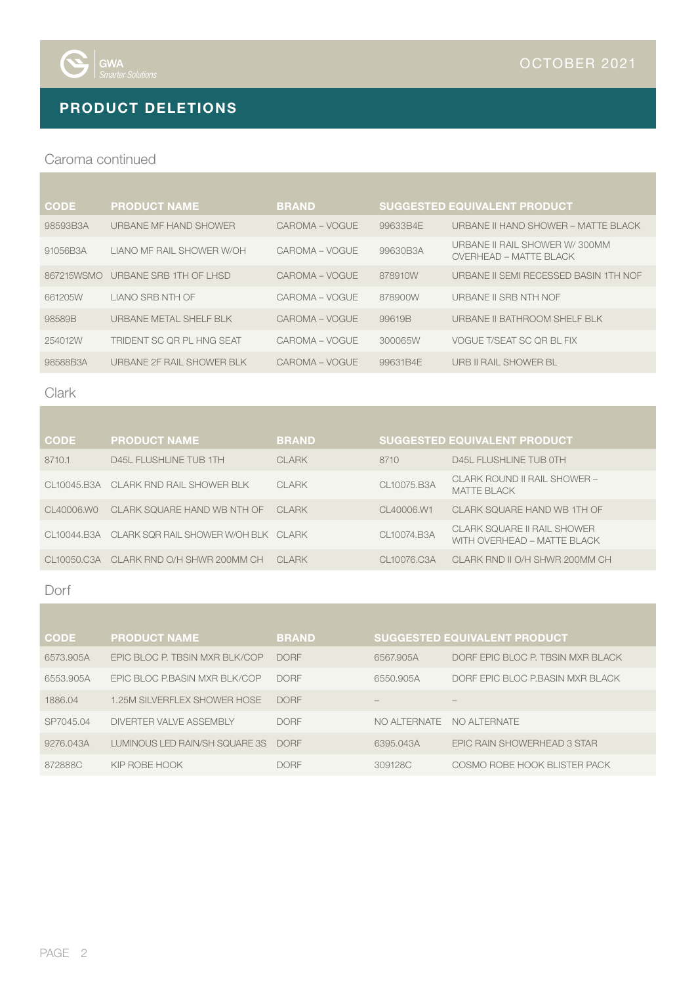

## PRODUCT DELETIONS

#### Caroma continued

| <b>CODE</b> | <b>PRODUCT NAME</b>       | <b>BRAND</b>   |          | <b>SUGGESTED EQUIVALENT PRODUCT</b>                            |
|-------------|---------------------------|----------------|----------|----------------------------------------------------------------|
| 98593B3A    | URBANE MF HAND SHOWER     | CAROMA – VOGUE | 99633B4E | URBANE II HAND SHOWER – MATTE BLACK                            |
| 91056B3A    | LIANO ME RAIL SHOWER W/OH | CAROMA – VOGUE | 99630B3A | URBANE II RAIL SHOWER W/300MM<br><b>OVERHEAD - MATTE BLACK</b> |
| 867215WSMO  | URBANE SRB 1TH OF LHSD    | CAROMA – VOGUE | 878910W  | <b>URBANE II SEMI RECESSED BASIN 1TH NOF</b>                   |
| 661205W     | LIANO SRB NTH OF          | CAROMA – VOGUE | 878900W  | URBANE II SRB NTH NOF                                          |
| 98589B      | URBANE METAL SHELF BLK    | CAROMA - VOGUE | 99619B   | URBANE II BATHROOM SHELF BLK                                   |
| 254012W     | TRIDENT SC OR PL HNG SEAT | CAROMA – VOGUE | 300065W  | VOGUE T/SEAT SC OR BL FIX                                      |
| 98588B3A    | URBANE 2F RAIL SHOWER BLK | CAROMA – VOGUE | 99631B4E | URB II RAIL SHOWER BL                                          |

#### Clark

| <b>CODE</b> | <b>PRODUCT NAME</b>                             | <b>BRAND</b> |             | <b>SUGGESTED EQUIVALENT PRODUCT</b>                        |
|-------------|-------------------------------------------------|--------------|-------------|------------------------------------------------------------|
| 8710.1      | D45L FLUSHLINE TUB 1TH                          | <b>CLARK</b> | 8710        | D45L FLUSHLINE TUB OTH                                     |
|             | CL10045.B3A CLARK RND RAIL SHOWER BLK           | <b>CLARK</b> | CL10075.B3A | CLARK ROUND II RAIL SHOWER –<br><b>MATTE BLACK</b>         |
| CL40006.WO  | CLARK SQUARE HAND WB NTH OF                     | CI ARK       | CL40006.W1  | CLARK SOUARE HAND WB 1TH OF                                |
|             | CL10044.B3A CLARK SOR RAIL SHOWER WOH BLK CLARK |              | CL10074.B3A | CLARK SOUARE II RAIL SHOWER<br>WITH OVERHEAD - MATTE BLACK |
|             | CL10050.C3A CLARK RND O/H SHWR 200MM CH         | CI ARK       | CL10076.C3A | CLARK RND II O/H SHWR 200MM CH                             |

### Dorf

| <b>CODE</b> | <b>PRODUCT NAME</b>            | <b>BRAND</b> |               | <b>SUGGESTED EQUIVALENT PRODUCT</b> |
|-------------|--------------------------------|--------------|---------------|-------------------------------------|
| 6573.905A   | EPIC BLOC P. TBSIN MXR BLK/COP | <b>DORF</b>  | 6567,905A     | DORF EPIC BLOC P. TBSIN MXR BLACK   |
| 6553.905A   | EPIC BLOC P.BASIN MXR BLK/COP  | <b>DORF</b>  | 6550.905A     | DORF EPIC BLOC P.BASIN MXR BLACK    |
| 1886.04     | 1.25M SILVERFLEX SHOWER HOSE   | <b>DORF</b>  |               |                                     |
| SP7045.04   | DIVERTER VALVE ASSEMBLY        | <b>DORF</b>  | NO AI TERNATE | NO ALTERNATE                        |
| 9276.043A   | LUMINOUS LED RAIN/SH SQUARE 3S | <b>DORF</b>  | 6395.043A     | EPIC RAIN SHOWERHEAD 3 STAR         |
| 872888C     | KIP ROBE HOOK                  | <b>DORF</b>  | 309128C       | COSMO ROBE HOOK BLISTER PACK        |